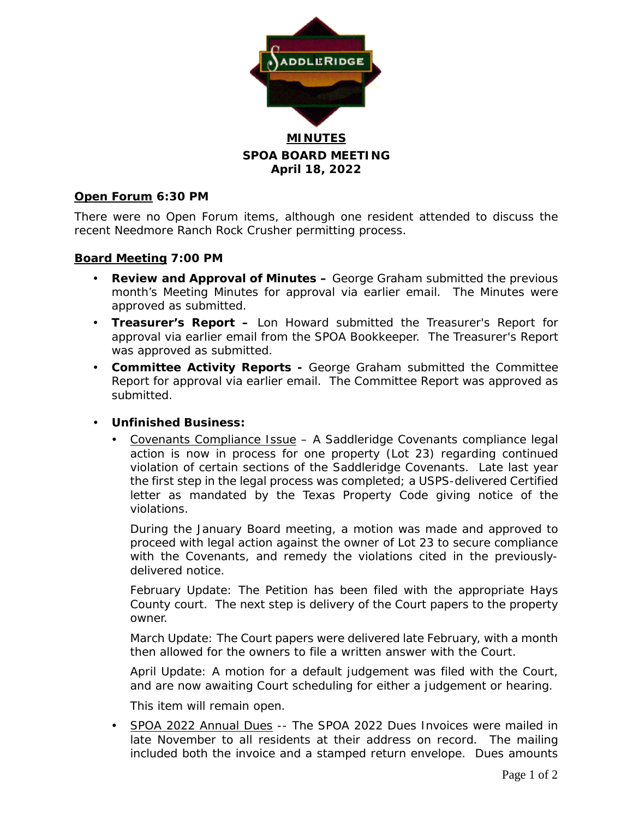

**SPOA BOARD MEETING April 18, 2022**

### **Open Forum 6:30 PM**

There were no Open Forum items, although one resident attended to discuss the recent Needmore Ranch Rock Crusher permitting process.

## **Board Meeting 7:00 PM**

- **Review and Approval of Minutes –** George Graham submitted the previous month's Meeting Minutes for approval via earlier email. The Minutes were approved as submitted.
- **Treasurer's Report –** Lon Howard submitted the Treasurer's Report for approval via earlier email from the SPOA Bookkeeper. The Treasurer's Report was approved as submitted.
- **Committee Activity Reports -** George Graham submitted the Committee Report for approval via earlier email. The Committee Report was approved as submitted.

### **Unfinished Business:**

 Covenants Compliance Issue – A Saddleridge Covenants compliance legal action is now in process for one property (Lot 23) regarding continued violation of certain sections of the Saddleridge Covenants. Late last year the first step in the legal process was completed; a USPS-delivered Certified letter as mandated by the Texas Property Code giving notice of the violations.

During the January Board meeting, a motion was made and approved to proceed with legal action against the owner of Lot 23 to secure compliance with the Covenants, and remedy the violations cited in the previouslydelivered notice.

February Update: The Petition has been filed with the appropriate Hays County court. The next step is delivery of the Court papers to the property owner.

March Update: The Court papers were delivered late February, with a month then allowed for the owners to file a written answer with the Court.

April Update: A motion for a default judgement was filed with the Court, and are now awaiting Court scheduling for either a judgement or hearing.

This item will remain open.

 SPOA 2022 Annual Dues -- The SPOA 2022 Dues Invoices were mailed in late November to all residents at their address on record. The mailing included both the invoice and a stamped return envelope. Dues amounts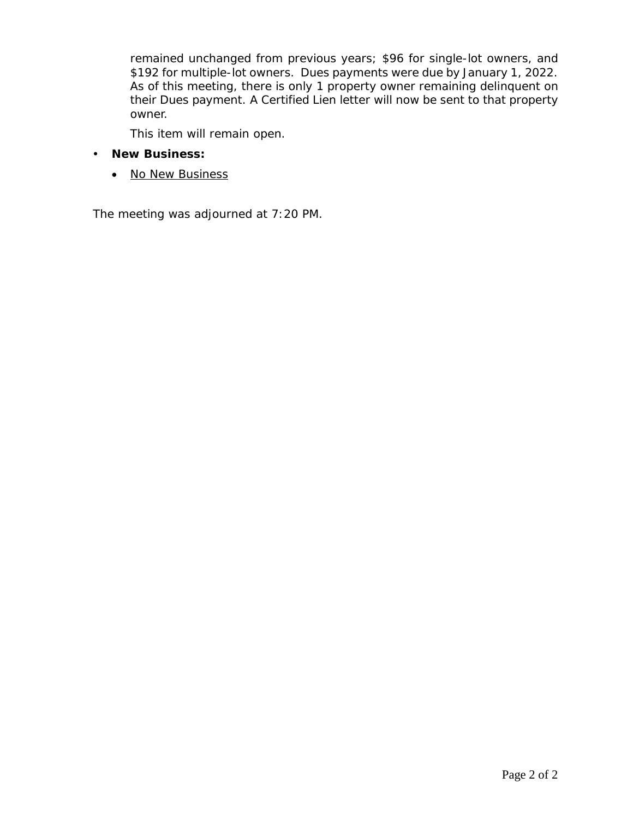remained unchanged from previous years; \$96 for single-lot owners, and \$192 for multiple-lot owners. Dues payments were due by January 1, 2022. As of this meeting, there is only 1 property owner remaining delinquent on their Dues payment. A Certified Lien letter will now be sent to that property owner.

This item will remain open.

- **New Business:**
	- No New Business

The meeting was adjourned at 7:20 PM.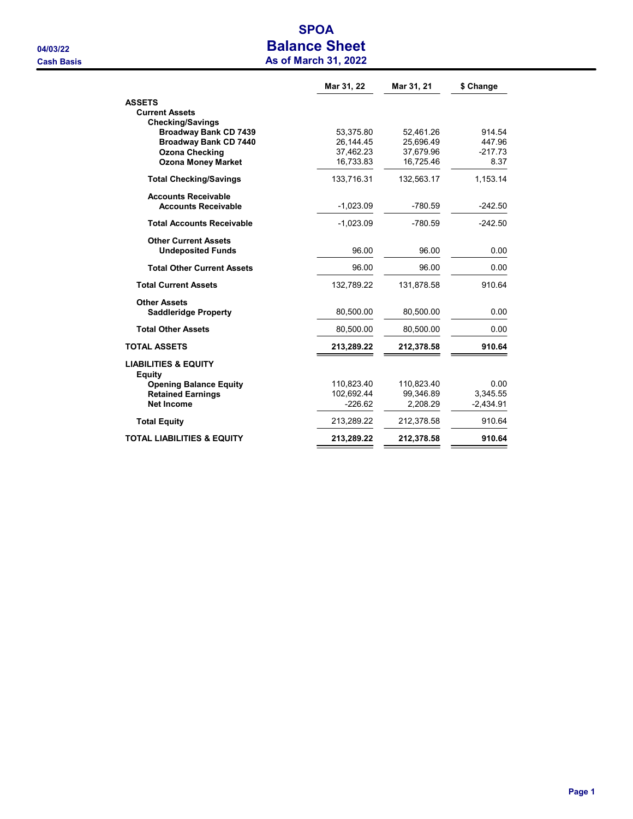## **SPOA** 04/03/22 Balance Sheet **Cash Basis** Cash Basis **As of March 31, 2022**

|                                       | Mar 31, 22  | Mar 31, 21 | \$ Change   |
|---------------------------------------|-------------|------------|-------------|
| <b>ASSETS</b>                         |             |            |             |
| <b>Current Assets</b>                 |             |            |             |
| <b>Checking/Savings</b>               |             |            |             |
| <b>Broadway Bank CD 7439</b>          | 53,375.80   | 52,461.26  | 914.54      |
| <b>Broadway Bank CD 7440</b>          | 26,144.45   | 25,696.49  | 447.96      |
| <b>Ozona Checking</b>                 | 37,462.23   | 37,679.96  | $-217.73$   |
| <b>Ozona Money Market</b>             | 16,733.83   | 16,725.46  | 8.37        |
| <b>Total Checking/Savings</b>         | 133.716.31  | 132.563.17 | 1.153.14    |
| <b>Accounts Receivable</b>            |             |            |             |
| <b>Accounts Receivable</b>            | $-1,023.09$ | $-780.59$  | $-242.50$   |
| <b>Total Accounts Receivable</b>      | $-1,023.09$ | $-780.59$  | $-242.50$   |
| <b>Other Current Assets</b>           |             |            |             |
| <b>Undeposited Funds</b>              | 96.00       | 96.00      | 0.00        |
| <b>Total Other Current Assets</b>     | 96.00       | 96.00      | 0.00        |
| <b>Total Current Assets</b>           | 132,789.22  | 131,878.58 | 910.64      |
| <b>Other Assets</b>                   |             |            |             |
| <b>Saddleridge Property</b>           | 80,500.00   | 80,500.00  | 0.00        |
| <b>Total Other Assets</b>             | 80,500.00   | 80,500.00  | 0.00        |
| <b>TOTAL ASSETS</b>                   | 213,289.22  | 212,378.58 | 910.64      |
| <b>LIABILITIES &amp; EQUITY</b>       |             |            |             |
| <b>Equity</b>                         |             |            |             |
| <b>Opening Balance Equity</b>         | 110,823.40  | 110,823.40 | 0.00        |
| <b>Retained Earnings</b>              | 102.692.44  | 99.346.89  | 3.345.55    |
| <b>Net Income</b>                     | $-226.62$   | 2,208.29   | $-2,434.91$ |
| <b>Total Equity</b>                   | 213,289.22  | 212,378.58 | 910.64      |
| <b>TOTAL LIABILITIES &amp; EQUITY</b> | 213,289.22  | 212,378.58 | 910.64      |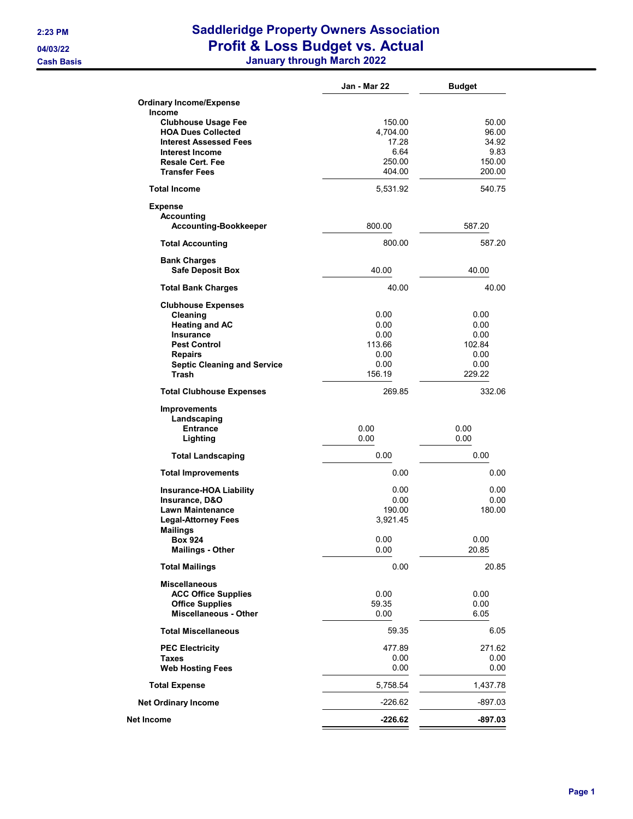## 2:23 PM Saddleridge Property Owners Association 04/03/22 **Profit & Loss Budget vs. Actual**

Cash Basis January through March 2022

|                                             | Jan - Mar 22 | <b>Budget</b> |
|---------------------------------------------|--------------|---------------|
| <b>Ordinary Income/Expense</b>              |              |               |
| <b>Income</b><br><b>Clubhouse Usage Fee</b> | 150.00       | 50.00         |
| <b>HOA Dues Collected</b>                   | 4,704.00     | 96.00         |
| <b>Interest Assessed Fees</b>               | 17.28        | 34.92         |
| Interest Income                             | 6.64         | 9.83          |
| <b>Resale Cert. Fee</b>                     | 250.00       | 150.00        |
| <b>Transfer Fees</b>                        | 404.00       | 200.00        |
| <b>Total Income</b>                         | 5,531.92     | 540.75        |
| <b>Expense</b>                              |              |               |
| Accounting                                  | 800.00       | 587.20        |
| <b>Accounting-Bookkeeper</b>                |              |               |
| <b>Total Accounting</b>                     | 800.00       | 587.20        |
| <b>Bank Charges</b>                         |              |               |
| <b>Safe Deposit Box</b>                     | 40.00        | 40.00         |
| <b>Total Bank Charges</b>                   | 40.00        | 40.00         |
| <b>Clubhouse Expenses</b>                   |              |               |
| Cleaning                                    | 0.00         | 0.00          |
| <b>Heating and AC</b><br><b>Insurance</b>   | 0.00<br>0.00 | 0.00<br>0.00  |
| <b>Pest Control</b>                         | 113.66       | 102.84        |
| <b>Repairs</b>                              | 0.00         | 0.00          |
| <b>Septic Cleaning and Service</b>          | 0.00         | 0.00          |
| <b>Trash</b>                                | 156.19       | 229.22        |
| <b>Total Clubhouse Expenses</b>             | 269.85       | 332.06        |
| <b>Improvements</b>                         |              |               |
| Landscaping                                 |              |               |
| <b>Entrance</b>                             | 0.00         | 0.00          |
| Lighting                                    | 0.00         | 0.00          |
| <b>Total Landscaping</b>                    | 0.00         | 0.00          |
| <b>Total Improvements</b>                   | 0.00         | 0.00          |
| <b>Insurance-HOA Liability</b>              | 0.00         | 0.00          |
| Insurance, D&O                              | 0.00         | 0.00          |
| <b>Lawn Maintenance</b>                     | 190.00       | 180.00        |
| <b>Legal-Attorney Fees</b>                  | 3,921.45     |               |
| <b>Mailings</b>                             |              |               |
| <b>Box 924</b><br><b>Mailings - Other</b>   | 0.00<br>0.00 | 0.00<br>20.85 |
| <b>Total Mailings</b>                       | 0.00         | 20.85         |
| <b>Miscellaneous</b>                        |              |               |
| <b>ACC Office Supplies</b>                  | 0.00         | 0.00          |
| <b>Office Supplies</b>                      | 59.35        | 0.00          |
| <b>Miscellaneous - Other</b>                | 0.00         | 6.05          |
| <b>Total Miscellaneous</b>                  | 59.35        | 6.05          |
| <b>PEC Electricity</b>                      | 477.89       | 271.62        |
| <b>Taxes</b>                                | 0.00         | 0.00          |
| <b>Web Hosting Fees</b>                     | 0.00         | 0.00          |
| <b>Total Expense</b>                        | 5,758.54     | 1,437.78      |
| <b>Net Ordinary Income</b>                  | $-226.62$    | $-897.03$     |
| Net Income                                  | $-226.62$    | $-897.03$     |